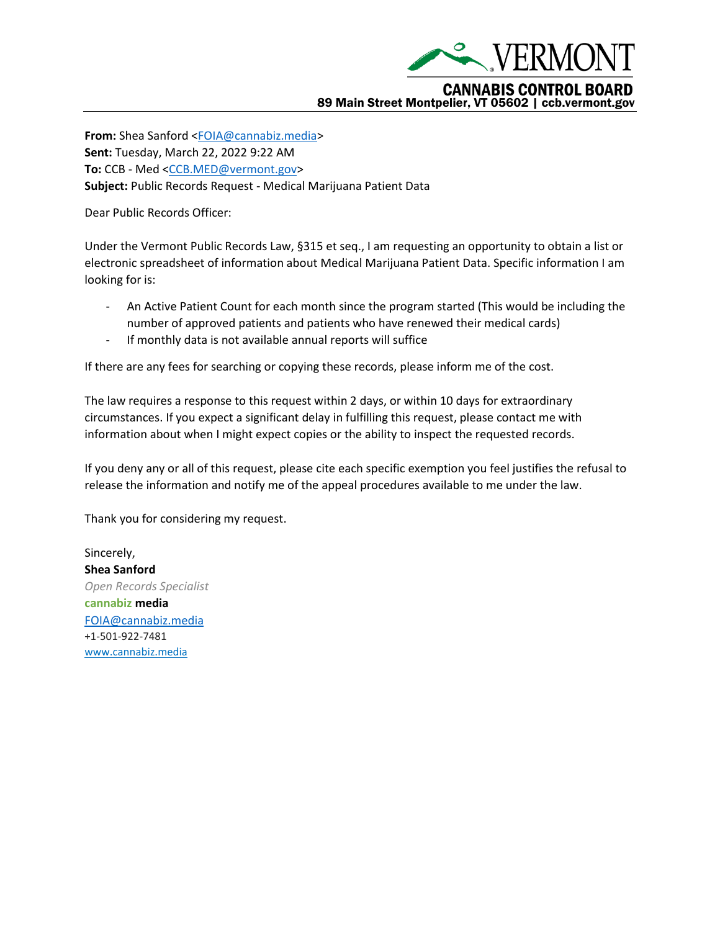

**From:** Shea Sanford [<FOIA@cannabiz.media>](mailto:FOIA@cannabiz.media) **Sent:** Tuesday, March 22, 2022 9:22 AM **To:** CCB - Med [<CCB.MED@vermont.gov>](mailto:CCB.MED@vermont.gov) **Subject:** Public Records Request - Medical Marijuana Patient Data

Dear Public Records Officer:

Under the Vermont Public Records Law, §315 et seq., I am requesting an opportunity to obtain a list or electronic spreadsheet of information about Medical Marijuana Patient Data. Specific information I am looking for is:

- An Active Patient Count for each month since the program started (This would be including the number of approved patients and patients who have renewed their medical cards)
- If monthly data is not available annual reports will suffice

If there are any fees for searching or copying these records, please inform me of the cost.

The law requires a response to this request within 2 days, or within 10 days for extraordinary circumstances. If you expect a significant delay in fulfilling this request, please contact me with information about when I might expect copies or the ability to inspect the requested records.

If you deny any or all of this request, please cite each specific exemption you feel justifies the refusal to release the information and notify me of the appeal procedures available to me under the law.

Thank you for considering my request.

Sincerely, **Shea Sanford** *Open Records Specialist* **cannabiz media** [FOIA@cannabiz.media](mailto:FOIA@cannabiz.media) +1-501-922-7481 [www.cannabiz.media](http://www.cannabiz.media/)